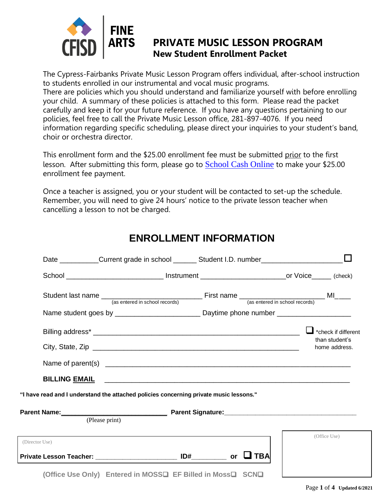

### **PRIVATE MUSIC LESSON PROGRAM New Student Enrollment Packet**

The Cypress-Fairbanks Private Music Lesson Program offers individual, after-school instruction to students enrolled in our instrumental and vocal music programs. There are policies which you should understand and familiarize yourself with before enrolling your child. A summary of these policies is attached to this form. Please read the packet carefully and keep it for your future reference. If you have any questions pertaining to our policies, feel free to call the Private Music Lesson office, 281-897-4076. If you need information regarding specific scheduling, please direct your inquiries to your student's band, choir or orchestra director.

This enrollment form and the \$25.00 enrollment fee must be submitted prior to the first lesson. After submitting this form, please go to [School Cash Online](https://cypress-fairbanksisd.schoolcashonline.com/Fee/Details/64765/135/False/True) to make your \$25.00 enrollment fee payment.

Once a teacher is assigned, you or your student will be contacted to set-up the schedule. Remember, you will need to give 24 hours' notice to the private lesson teacher when cancelling a lesson to not be charged.

|                                                                                        | Date ___________Current grade in school ________ Student I.D. number___________________              |  |                                                        |
|----------------------------------------------------------------------------------------|------------------------------------------------------------------------------------------------------|--|--------------------------------------------------------|
|                                                                                        |                                                                                                      |  |                                                        |
|                                                                                        |                                                                                                      |  |                                                        |
|                                                                                        | Name student goes by _____________________________Daytime phone number _____________________________ |  |                                                        |
|                                                                                        |                                                                                                      |  | *check if different<br>than student's<br>home address. |
|                                                                                        |                                                                                                      |  |                                                        |
|                                                                                        |                                                                                                      |  |                                                        |
| "I have read and I understand the attached policies concerning private music lessons." |                                                                                                      |  |                                                        |
|                                                                                        | (Please print)                                                                                       |  |                                                        |
| (Director Use)                                                                         |                                                                                                      |  | (Office Use)                                           |
| Private Lesson Teacher: ______________________ ID#_________ or   ❑ TBA                 |                                                                                                      |  |                                                        |
|                                                                                        | (Office Use Only) Entered in MOSS□ EF Billed in Moss□ SCN□                                           |  |                                                        |

### **ENROLLMENT INFORMATION**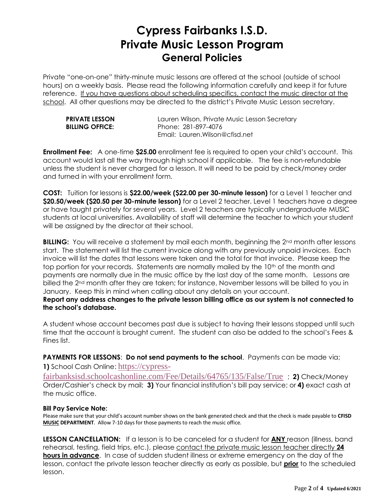## **Cypress Fairbanks I.S.D. Private Music Lesson Program General Policies**

Private "one-on-one" thirty-minute music lessons are offered at the school (outside of school hours) on a weekly basis. Please read the following information carefully and keep it for future reference. If you have questions about scheduling specifics, contact the music director at the school. All other questions may be directed to the district's Private Music Lesson secretary.

| <b>PRIVATE LESSON</b>  |
|------------------------|
| <b>BILLING OFFICE:</b> |

Lauren Wilson, Private Music Lesson Secretary **BILLING OFFICE:** Phone: 281-897-4076 Email: Lauren.Wilson@cfisd.net

**Enrollment Fee:** A one-time **\$25.00** enrollment fee is required to open your child's account. This account would last all the way through high school if applicable. The fee is non-refundable unless the student is never charged for a lesson. It will need to be paid by check/money order and turned in with your enrollment form.

**COST:** Tuition for lessons is **\$22.00/week (\$22.00 per 30-minute lesson)** for a Level 1 teacher and **\$20.50/week (\$20.50 per 30-minute lesson)** for a Level 2 teacher. Level 1 teachers have a degree or have taught privately for several years. Level 2 teachers are typically undergraduate MUSIC students at local universities. Availability of staff will determine the teacher to which your student will be assigned by the director at their school.

**BILLING:** You will receive a statement by mail each month, beginning the 2<sup>nd</sup> month after lessons start. The statement will list the current invoice along with any previously unpaid invoices. Each invoice will list the dates that lessons were taken and the total for that invoice. Please keep the top portion for your records. Statements are normally mailed by the 10th of the month and payments are normally due in the music office by the last day of the same month. Lessons are billed the 2<sup>nd</sup> month after they are taken; for instance, November lessons will be billed to you in January. Keep this in mind when calling about any details on your account.

**Report any address changes to the private lesson billing office as our system is not connected to the school's database.** 

A student whose account becomes past due is subject to having their lessons stopped until such time that the account is brought current. The student can also be added to the school's Fees & Fines list.

**PAYMENTS FOR LESSONS**: **Do not send payments to the school**. Payments can be made via;

**1)** School Cash Online: [https://cypress-](https://cypress-fairbanksisd.schoolcashonline.com/Fee/Details/64765/135/False/True)

[fairbanksisd.schoolcashonline.com/Fee/Details/64765/135/False/True](https://cypress-fairbanksisd.schoolcashonline.com/Fee/Details/64765/135/False/True) ; **2)** Check/Money Order/Cashier's check by mail; **3)** Your financial institution's bill pay service; or **4)** exact cash at the music office.

#### **Bill Pay Service Note:**

Please make sure that your child's account number shows on the bank generated check and that the check is made payable to **CFISD MUSIC DEPARTMENT**. Allow 7-10 days for those payments to reach the music office.

**LESSON CANCELLATION:** If a lesson is to be canceled for a student for **ANY** reason (illness, band rehearsal, testing, field trips, etc.), please contact the private music lesson teacher directly **24 hours in advance**. In case of sudden student illness or extreme emergency on the day of the lesson, contact the private lesson teacher directly as early as possible, but **prior** to the scheduled lesson.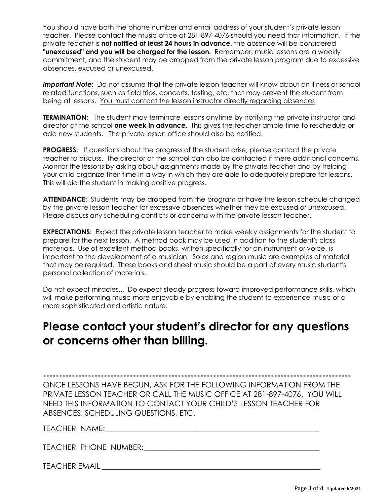You should have both the phone number and email address of your student's private lesson teacher. Please contact the music office at 281-897-4076 should you need that information. If the private teacher is **not notified at least 24 hours in advance**, the absence will be considered **"unexcused" and you will be charged for the lesson.** Remember, music lessons are a weekly commitment, and the student may be dropped from the private lesson program due to excessive absences, excused or unexcused.

*Important Note***:** Do not assume that the private lesson teacher will know about an illness or school related functions, such as field trips, concerts, testing, etc. that may prevent the student from being at lessons. You must contact the lesson instructor directly regarding absences.

**TERMINATION:** The student may terminate lessons anytime by notifying the private instructor and director at the school **one week in advance**. This gives the teacher ample time to reschedule or add new students. The private lesson office should also be notified.

**PROGRESS:** If questions about the progress of the student arise, please contact the private teacher to discuss. The director at the school can also be contacted if there additional concerns. Monitor the lessons by asking about assignments made by the private teacher and by helping your child organize their time in a way in which they are able to adequately prepare for lessons. This will aid the student in making positive progress.

**ATTENDANCE:** Students may be dropped from the program or have the lesson schedule changed by the private lesson teacher for excessive absences whether they be excused or unexcused. Please discuss any scheduling conflicts or concerns with the private lesson teacher.

**EXPECTATIONS:** Expect the private lesson teacher to make weekly assignments for the student to prepare for the next lesson. A method book may be used in addition to the student's class materials. Use of excellent method books, written specifically for an instrument or voice, is important to the development of a musician. Solos and region music are examples of material that may be required. These books and sheet music should be a part of every music student's personal collection of materials.

Do not expect miracles... Do expect steady progress toward improved performance skills, which will make performing music more enjoyable by enabling the student to experience music of a more sophisticated and artistic nature.

### **Please contact your student's director for any questions or concerns other than billing.**

**------------------------------------------------------------------------------------------------**

ONCE LESSONS HAVE BEGUN, ASK FOR THE FOLLOWING INFORMATION FROM THE PRIVATE LESSON TEACHER OR CALL THE MUSIC OFFICE AT 281-897-4076. YOU WILL NEED THIS INFORMATION TO CONTACT YOUR CHILD'S LESSON TEACHER FOR ABSENCES, SCHEDULING QUESTIONS, ETC.

TEACHER NAME:\_\_\_\_\_\_\_\_\_\_\_\_\_\_\_\_\_\_\_\_\_\_\_\_\_\_\_\_\_\_\_\_\_\_\_\_\_\_\_\_\_\_\_\_\_\_\_\_\_\_\_\_\_\_\_\_

TEACHER PHONE NUMBER:\_\_\_\_\_\_\_\_\_\_\_\_\_\_\_\_\_\_\_\_\_\_\_\_\_\_\_\_\_\_\_\_\_\_\_\_\_\_\_\_\_\_\_\_\_\_

TEACHER EMAIL ZERER EMAIL TEACHER EMAIL TEACHER EMAIL